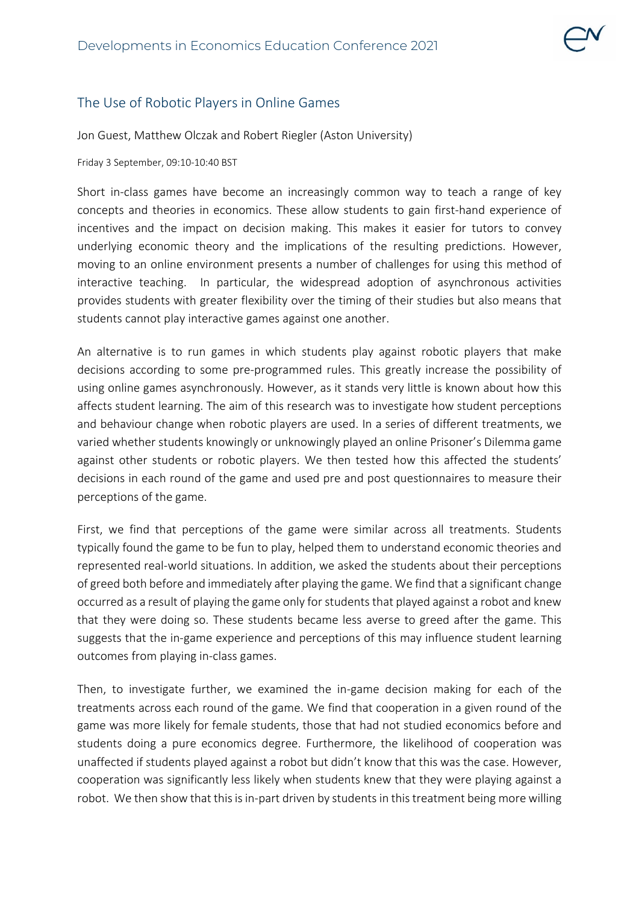## The Use of Robotic Players in Online Games

Jon Guest, Matthew Olczak and Robert Riegler (Aston University)

Friday 3 September, 09:10-10:40 BST

Short in-class games have become an increasingly common way to teach a range of key concepts and theories in economics. These allow students to gain first-hand experience of incentives and the impact on decision making. This makes it easier for tutors to convey underlying economic theory and the implications of the resulting predictions. However, moving to an online environment presents a number of challenges for using this method of interactive teaching. In particular, the widespread adoption of asynchronous activities provides students with greater flexibility over the timing of their studies but also means that students cannot play interactive games against one another.

An alternative is to run games in which students play against robotic players that make decisions according to some pre-programmed rules. This greatly increase the possibility of using online games asynchronously. However, as it stands very little is known about how this affects student learning. The aim of this research was to investigate how student perceptions and behaviour change when robotic players are used. In a series of different treatments, we varied whether students knowingly or unknowingly played an online Prisoner's Dilemma game against other students or robotic players. We then tested how this affected the students' decisions in each round of the game and used pre and post questionnaires to measure their perceptions of the game.

First, we find that perceptions of the game were similar across all treatments. Students typically found the game to be fun to play, helped them to understand economic theories and represented real-world situations. In addition, we asked the students about their perceptions of greed both before and immediately after playing the game. We find that a significant change occurred as a result of playing the game only for students that played against a robot and knew that they were doing so. These students became less averse to greed after the game. This suggests that the in-game experience and perceptions of this may influence student learning outcomes from playing in-class games.

Then, to investigate further, we examined the in-game decision making for each of the treatments across each round of the game. We find that cooperation in a given round of the game was more likely for female students, those that had not studied economics before and students doing a pure economics degree. Furthermore, the likelihood of cooperation was unaffected if students played against a robot but didn't know that this was the case. However, cooperation was significantly less likely when students knew that they were playing against a robot. We then show that this is in-part driven by students in this treatment being more willing